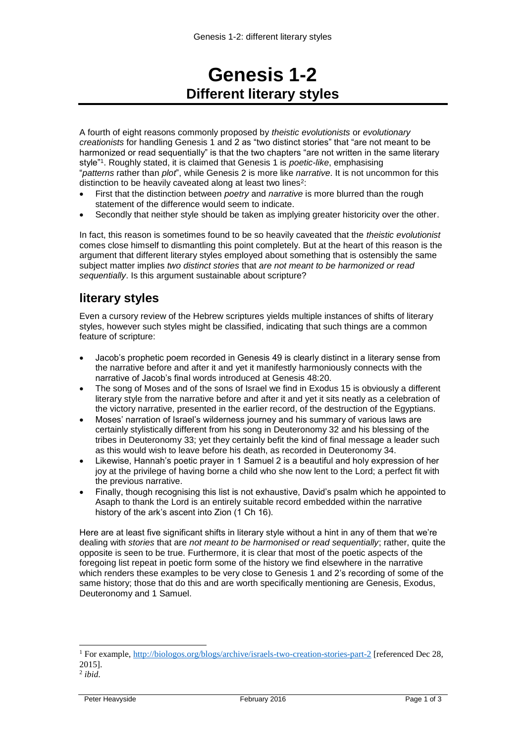# **Genesis 1-2 Different literary styles**

A fourth of eight reasons commonly proposed by *theistic evolutionists* or *evolutionary creationists* for handling Genesis 1 and 2 as "two distinct stories" that "are not meant to be harmonized or read sequentially" is that the two chapters "are not written in the same literary style"<sup>1</sup> . Roughly stated, it is claimed that Genesis 1 is *poetic-like*, emphasising "*patterns* rather than *plot*", while Genesis 2 is more like *narrative*. It is not uncommon for this distinction to be heavily caveated along at least two lines<sup>2</sup>:

- First that the distinction between *poetry* and *narrative* is more blurred than the rough statement of the difference would seem to indicate.
- Secondly that neither style should be taken as implying greater historicity over the other.

In fact, this reason is sometimes found to be so heavily caveated that the *theistic evolutionist* comes close himself to dismantling this point completely. But at the heart of this reason is the argument that different literary styles employed about something that is ostensibly the same subject matter implies *two distinct stories* that *are not meant to be harmonized or read sequentially*. Is this argument sustainable about scripture?

# **literary styles**

Even a cursory review of the Hebrew scriptures yields multiple instances of shifts of literary styles, however such styles might be classified, indicating that such things are a common feature of scripture:

- Jacob's prophetic poem recorded in Genesis 49 is clearly distinct in a literary sense from the narrative before and after it and yet it manifestly harmoniously connects with the narrative of Jacob's final words introduced at Genesis 48:20.
- The song of Moses and of the sons of Israel we find in Exodus 15 is obviously a different literary style from the narrative before and after it and yet it sits neatly as a celebration of the victory narrative, presented in the earlier record, of the destruction of the Egyptians.
- Moses' narration of Israel's wilderness journey and his summary of various laws are certainly stylistically different from his song in Deuteronomy 32 and his blessing of the tribes in Deuteronomy 33; yet they certainly befit the kind of final message a leader such as this would wish to leave before his death, as recorded in Deuteronomy 34.
- Likewise, Hannah's poetic prayer in 1 Samuel 2 is a beautiful and holy expression of her joy at the privilege of having borne a child who she now lent to the Lord; a perfect fit with the previous narrative.
- Finally, though recognising this list is not exhaustive, David's psalm which he appointed to Asaph to thank the Lord is an entirely suitable record embedded within the narrative history of the ark's ascent into Zion (1 Ch 16).

Here are at least five significant shifts in literary style without a hint in any of them that we're dealing with *stories* that are *not meant to be harmonised or read sequentially*; rather, quite the opposite is seen to be true. Furthermore, it is clear that most of the poetic aspects of the foregoing list repeat in poetic form some of the history we find elsewhere in the narrative which renders these examples to be very close to Genesis 1 and 2's recording of some of the same history; those that do this and are worth specifically mentioning are Genesis, Exodus, Deuteronomy and 1 Samuel.

 $\overline{a}$ 

<sup>1</sup> For example,<http://biologos.org/blogs/archive/israels-two-creation-stories-part-2> [referenced Dec 28, 2015].

<sup>2</sup> *ibid*.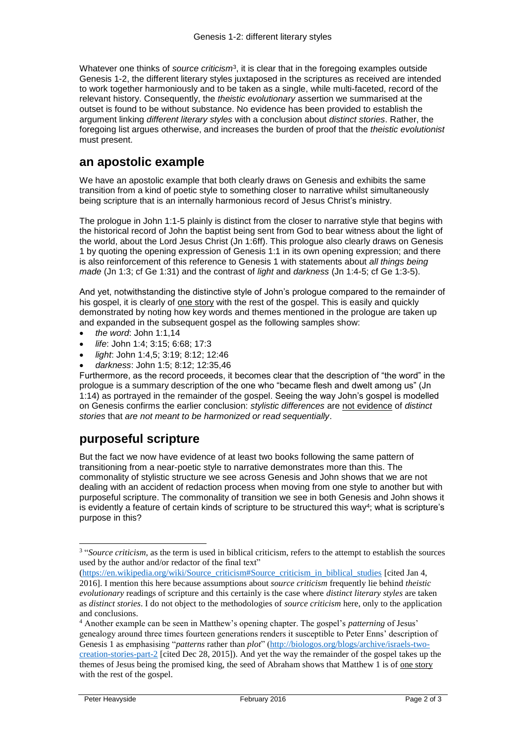Whatever one thinks of *source criticism*<sup>3</sup>, it is clear that in the foregoing examples outside Genesis 1-2, the different literary styles juxtaposed in the scriptures as received are intended to work together harmoniously and to be taken as a single, while multi-faceted, record of the relevant history. Consequently, the *theistic evolutionary* assertion we summarised at the outset is found to be without substance. No evidence has been provided to establish the argument linking *different literary styles* with a conclusion about *distinct stories*. Rather, the foregoing list argues otherwise, and increases the burden of proof that the *theistic evolutionist* must present.

### **an apostolic example**

We have an apostolic example that both clearly draws on Genesis and exhibits the same transition from a kind of poetic style to something closer to narrative whilst simultaneously being scripture that is an internally harmonious record of Jesus Christ's ministry.

The prologue in John 1:1-5 plainly is distinct from the closer to narrative style that begins with the historical record of John the baptist being sent from God to bear witness about the light of the world, about the Lord Jesus Christ (Jn 1:6ff). This prologue also clearly draws on Genesis 1 by quoting the opening expression of Genesis 1:1 in its own opening expression; and there is also reinforcement of this reference to Genesis 1 with statements about *all things being made* (Jn 1:3; cf Ge 1:31) and the contrast of *light* and *darkness* (Jn 1:4-5; cf Ge 1:3-5).

And yet, notwithstanding the distinctive style of John's prologue compared to the remainder of his gospel, it is clearly of one story with the rest of the gospel. This is easily and quickly demonstrated by noting how key words and themes mentioned in the prologue are taken up and expanded in the subsequent gospel as the following samples show:

- *the word*: John 1:1,14
- *life*: John 1:4; 3:15; 6:68; 17:3
- *light*: John 1:4,5; 3:19; 8:12; 12:46
- *darkness*: John 1:5; 8:12; 12:35,46

Furthermore, as the record proceeds, it becomes clear that the description of "the word" in the prologue is a summary description of the one who "became flesh and dwelt among us" (Jn 1:14) as portrayed in the remainder of the gospel. Seeing the way John's gospel is modelled on Genesis confirms the earlier conclusion: *stylistic differences* are not evidence of *distinct stories* that *are not meant to be harmonized or read sequentially*.

# **purposeful scripture**

But the fact we now have evidence of at least two books following the same pattern of transitioning from a near-poetic style to narrative demonstrates more than this. The commonality of stylistic structure we see across Genesis and John shows that we are not dealing with an accident of redaction process when moving from one style to another but with purposeful scripture. The commonality of transition we see in both Genesis and John shows it is evidently a feature of certain kinds of scripture to be structured this way<sup>4</sup>; what is scripture's purpose in this?

-

<sup>&</sup>lt;sup>3</sup> "*Source criticism*, as the term is used in biblical criticism, refers to the attempt to establish the sources used by the author and/or redactor of the final text"

[<sup>\(</sup>https://en.wikipedia.org/wiki/Source\\_criticism#Source\\_criticism\\_in\\_biblical\\_studies](https://en.wikipedia.org/wiki/Source_criticism#Source_criticism_in_biblical_studies) [cited Jan 4, 2016]. I mention this here because assumptions about *source criticism* frequently lie behind *theistic evolutionary* readings of scripture and this certainly is the case where *distinct literary styles* are taken as *distinct stories*. I do not object to the methodologies of *source criticism* here, only to the application and conclusions.

<sup>4</sup> Another example can be seen in Matthew's opening chapter. The gospel's *patterning* of Jesus' genealogy around three times fourteen generations renders it susceptible to Peter Enns' description of Genesis 1 as emphasising "*patterns* rather than *plot*" [\(http://biologos.org/blogs/archive/israels-two](http://biologos.org/blogs/archive/israels-two-creation-stories-part-2)[creation-stories-part-2](http://biologos.org/blogs/archive/israels-two-creation-stories-part-2) [cited Dec 28, 2015]). And yet the way the remainder of the gospel takes up the themes of Jesus being the promised king, the seed of Abraham shows that Matthew 1 is of one story with the rest of the gospel.